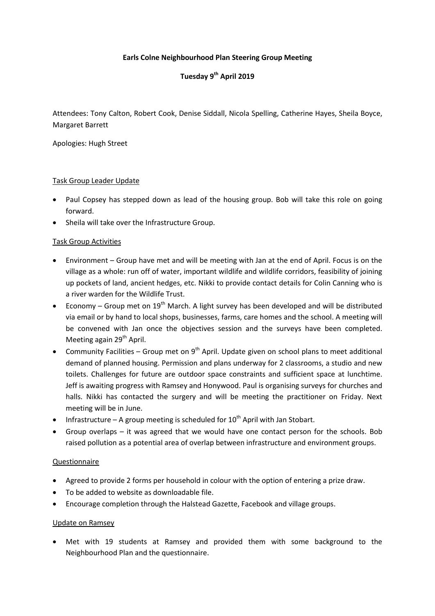## **Earls Colne Neighbourhood Plan Steering Group Meeting**

# **Tuesday 9 th April 2019**

Attendees: Tony Calton, Robert Cook, Denise Siddall, Nicola Spelling, Catherine Hayes, Sheila Boyce, Margaret Barrett

Apologies: Hugh Street

#### Task Group Leader Update

- Paul Copsey has stepped down as lead of the housing group. Bob will take this role on going forward.
- Sheila will take over the Infrastructure Group.

### Task Group Activities

- Environment Group have met and will be meeting with Jan at the end of April. Focus is on the village as a whole: run off of water, important wildlife and wildlife corridors, feasibility of joining up pockets of land, ancient hedges, etc. Nikki to provide contact details for Colin Canning who is a river warden for the Wildlife Trust.
- Economy Group met on  $19<sup>th</sup>$  March. A light survey has been developed and will be distributed via email or by hand to local shops, businesses, farms, care homes and the school. A meeting will be convened with Jan once the objectives session and the surveys have been completed. Meeting again 29<sup>th</sup> April.
- Community Facilities Group met on  $9<sup>th</sup>$  April. Update given on school plans to meet additional demand of planned housing. Permission and plans underway for 2 classrooms, a studio and new toilets. Challenges for future are outdoor space constraints and sufficient space at lunchtime. Jeff is awaiting progress with Ramsey and Honywood. Paul is organising surveys for churches and halls. Nikki has contacted the surgery and will be meeting the practitioner on Friday. Next meeting will be in June.
- Infrastructure A group meeting is scheduled for  $10^{th}$  April with Jan Stobart.
- Group overlaps it was agreed that we would have one contact person for the schools. Bob raised pollution as a potential area of overlap between infrastructure and environment groups.

#### Questionnaire

- Agreed to provide 2 forms per household in colour with the option of entering a prize draw.
- To be added to website as downloadable file.
- Encourage completion through the Halstead Gazette, Facebook and village groups.

#### Update on Ramsey

 Met with 19 students at Ramsey and provided them with some background to the Neighbourhood Plan and the questionnaire.